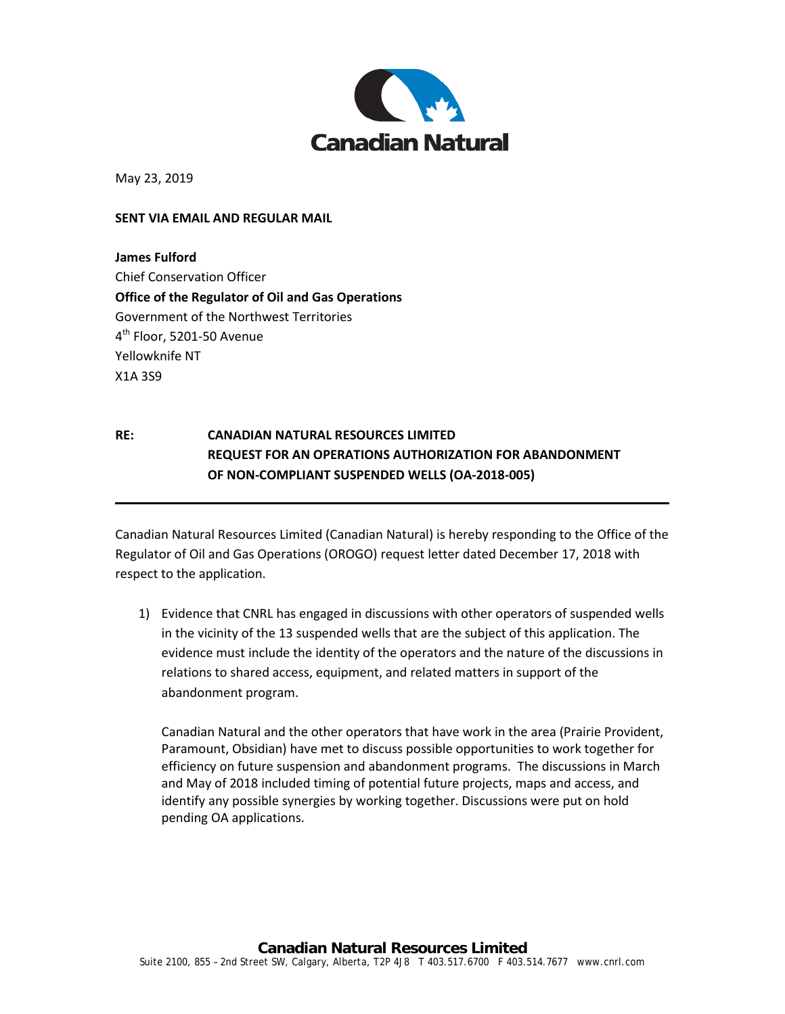

May 23, 2019

## **SENT VIA EMAIL AND REGULAR MAIL**

**James Fulford** Chief Conservation Officer **Office of the Regulator of Oil and Gas Operations** Government of the Northwest Territories 4<sup>th</sup> Floor, 5201-50 Avenue Yellowknife NT X1A 3S9

## **RE: CANADIAN NATURAL RESOURCES LIMITED REQUEST FOR AN OPERATIONS AUTHORIZATION FOR ABANDONMENT OF NON-COMPLIANT SUSPENDED WELLS (OA-2018-005)**

Canadian Natural Resources Limited (Canadian Natural) is hereby responding to the Office of the Regulator of Oil and Gas Operations (OROGO) request letter dated December 17, 2018 with respect to the application.

1) Evidence that CNRL has engaged in discussions with other operators of suspended wells in the vicinity of the 13 suspended wells that are the subject of this application. The evidence must include the identity of the operators and the nature of the discussions in relations to shared access, equipment, and related matters in support of the abandonment program.

Canadian Natural and the other operators that have work in the area (Prairie Provident, Paramount, Obsidian) have met to discuss possible opportunities to work together for efficiency on future suspension and abandonment programs. The discussions in March and May of 2018 included timing of potential future projects, maps and access, and identify any possible synergies by working together. Discussions were put on hold pending OA applications.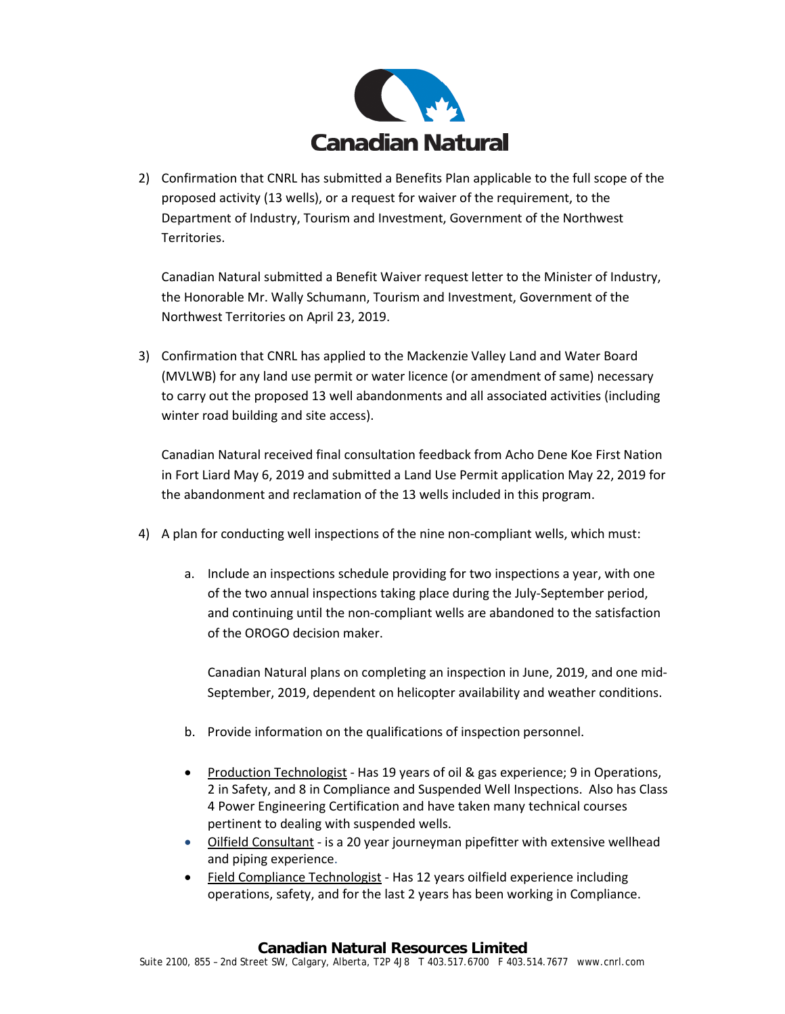

2) Confirmation that CNRL has submitted a Benefits Plan applicable to the full scope of the proposed activity (13 wells), or a request for waiver of the requirement, to the Department of Industry, Tourism and Investment, Government of the Northwest Territories.

Canadian Natural submitted a Benefit Waiver request letter to the Minister of Industry, the Honorable Mr. Wally Schumann, Tourism and Investment, Government of the Northwest Territories on April 23, 2019.

3) Confirmation that CNRL has applied to the Mackenzie Valley Land and Water Board (MVLWB) for any land use permit or water licence (or amendment of same) necessary to carry out the proposed 13 well abandonments and all associated activities (including winter road building and site access).

Canadian Natural received final consultation feedback from Acho Dene Koe First Nation in Fort Liard May 6, 2019 and submitted a Land Use Permit application May 22, 2019 for the abandonment and reclamation of the 13 wells included in this program.

- 4) A plan for conducting well inspections of the nine non-compliant wells, which must:
	- a. Include an inspections schedule providing for two inspections a year, with one of the two annual inspections taking place during the July-September period, and continuing until the non-compliant wells are abandoned to the satisfaction of the OROGO decision maker.

Canadian Natural plans on completing an inspection in June, 2019, and one mid-September, 2019, dependent on helicopter availability and weather conditions.

- b. Provide information on the qualifications of inspection personnel.
- Production Technologist Has 19 years of oil & gas experience; 9 in Operations, 2 in Safety, and 8 in Compliance and Suspended Well Inspections. Also has Class 4 Power Engineering Certification and have taken many technical courses pertinent to dealing with suspended wells.
- Oilfield Consultant is a 20 year journeyman pipefitter with extensive wellhead and piping experience.
- Field Compliance Technologist Has 12 years oilfield experience including operations, safety, and for the last 2 years has been working in Compliance.